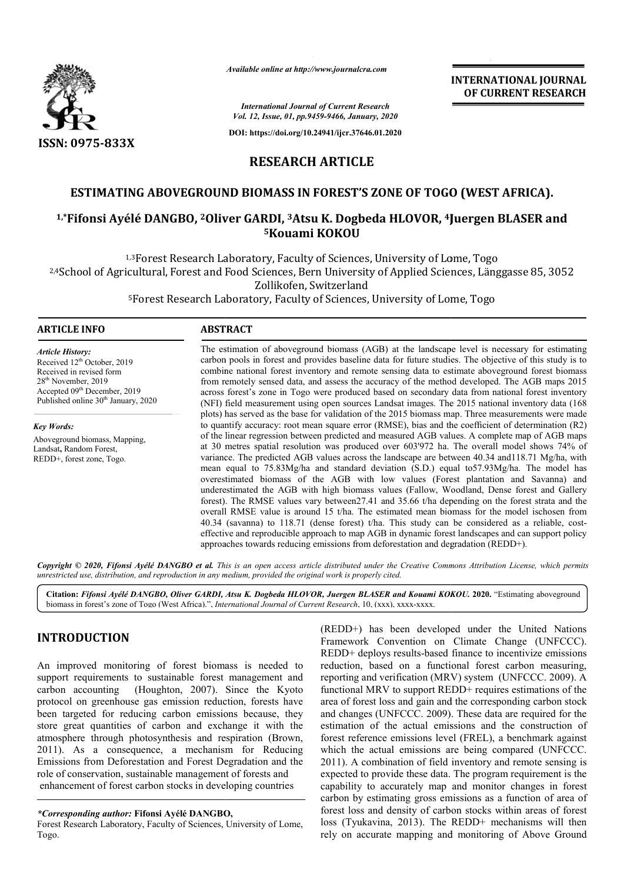

*Available online at http://www.journalcra.com*

**INTERNATIONAL JOURNAL OF CURRENT RESEARCH**

*International Journal of Current Research Vol. 12, Issue, 01, pp.9459-9466, January, 2020*

**DOI: https://doi.org/10.24941/ijcr.37646.01.2020**

# **RESEARCH ARTICLE**

# **ESTIMATING ABOVEGROUND BIOMASS IN FOREST'S ZONE OF TOGO (WEST AFRICA).**

# **ESTIMATING ABOVEGROUND BIOMASS IN FOREST'S ZONE OF TOGO (WEST AFRICA).**<br><sup>1,\*</sup>Fifonsi Ayélé DANGBO, <sup>2</sup>Oliver GARDI, <sup>3</sup>Atsu K. Dogbeda HLOVOR, <sup>4</sup>Juergen BLASER and **5Kouami KOKOU**

1,3Forest Research Laboratory, Faculty of Sciences, University of Lome, Togo <sup>1,3</sup>Forest Research Laboratory, Faculty of Sciences, University of Lome, Togo<br><sup>2,4</sup>School of Agricultural, Forest and Food Sciences, Bern University of Applied Sciences, Länggasse 85, 3052 Zollikofen, Switzerland

<sup>5</sup>Forest Research Laboratory, Faculty of Sciences, University of Lome, Togo

#### **ARTICLE INFO ABSTRACT**

*Article History:* Received 12<sup>th</sup> October, 2019 Received in revised form 28<sup>th</sup> November, 2019 Accepted 09<sup>th</sup> December, 2019 Published online  $30<sup>th</sup>$  January, 2020

*Key Words:* Aboveground biomass, Mapping, Landsat**,** Random Forest, REDD+, forest zone, Togo.

The estimation of aboveground biomass (AGB) at the landscape level is necessary for estimating The estimation of aboveground biomass (AGB) at the landscape level is necessary for estimating carbon pools in forest and provides baseline data for future studies. The objective of this study is to combine national forest inventory and remote sensing data to estimate aboveground forest biomass combine national forest inventory and remote sensing data to estimate aboveground forest biomass from remotely sensed data, and assess the accuracy of the method developed. The AGB maps 2015 across forest's zone in Togo were produced based on secondary data from national forest inventory (NFI) field measurement using open sources Landsat images. The 2015 national inventory data (168 (NFI) field measurement using open sources Landsat images. The 2015 national inventory data (168 plots) has served as the base for validation of the 2015 biomass map. Three measurements were made to quantify accuracy: root mean square error (RMSE), bias and the coefficient of determination (R2) of the linear regression between predicted and measured AGB values. A complete map of AGB maps at 30 metres spatial resolution was produced over 603'972 ha. The overall model shows 74% of at 30 metres spatial resolution was produced over 603'972 ha. The overall model shows 74% of variance. The predicted AGB values across the landscape are between 40.34 and 118.71 Mg/ha, with mean equal to 75.83Mg/ha and standard deviation (S.D.) equal to 57.93Mg/ha. The model has overestimated biomass of the AGB with low values (Forest plantation and Savanna) and underestimated the AGB with high biomass values (Fallow, Woodland, Dense forest and Gallery forest). The RMSE values vary between 27.41 and 35.66 t/ha depending on the forest strata and the overall RMSE value is around 15 t/ha. The estimated mean biomass for the model ischosen from overestimated biomass of the AGB with low values (Forest plantation and Savanna) and underestimated the AGB with high biomass values (Fallow, Woodland, Dense forest and Gallery forest). The RMSE values vary between 27.41 a effective and reproducible approach to map AGB in dynamic forest landscapes and can support policy effective and reproducible approach to map AGB in dynamic forest landscapes and can support policy approaches towards reducing emissions from deforestation and degradation (REDD+).

Copyright © 2020, Fifonsi Ayélé DANGBO et al. This is an open access article distributed under the Creative Commons Attribution License, which permits *unrestricted use, distribution, and reproduction in any medium, provided the original work is properly cited.*

Citation: Fifonsi Ayélé DANGBO, Oliver GARDI, Atsu K. Dogbeda HLOVOR, Juergen BLASER and Kouami KOKOU. 2020. "Estimating aboveground biomass in forest's zone of Togo (West Africa).", *International Journal of Current Research*, 10, (xxx), xxxx-xxxx.

# **INTRODUCTION**

An improved monitoring of forest biomass is needed to support requirements to sustainable forest management and carbon accounting (Houghton, 2007). Since the Kyoto protocol on greenhouse gas emission reduction, forests have carbon accounting (Houghton, 2007). Since the Kyoto protocol on greenhouse gas emission reduction, forests have been targeted for reducing carbon emissions because, they store great quantities of carbon and exchange it with the atmosphere through photosynthesis and respiration (Brown, 2011). As a consequence, a mechanism for Reducing Emissions from Deforestation and Forest Degradation and the role of conservation, sustainable management of forests and e enhancement of forest carbon stocks in developing countries

*\*Corresponding author:* **Fifonsi Ayélé DANGBO DANGBO,**

Forest Research Laboratory, Faculty of Sciences, University of Lome, Togo.

(REDD+) has been developed under the United Nations Framework Convention on Climate Change (UNFCCC). REDD+ deploys results-based finance to incentivize emissions Framework Convention on Climate Change (UNFCCC).<br>REDD+ deploys results-based finance to incentivize emissions<br>reduction, based on a functional forest carbon measuring, reporting and verification (MRV) system (UNFCCC. 2009). A functional MRV to support REDD+ requires estimations of the area of forest loss and gain and the corresponding carbon stock functional MRV to support REDD+ requires estimations of the area of forest loss and gain and the corresponding carbon stock and changes (UNFCCC. 2009). These data are required for the estimation of the actual emissions and the construction of forest reference emissions level (FREL), a benchmark against against which the actual emissions are being compared (UNFCCC. 2011). A combination of field inventory and remote sensing is 2011). A combination of field inventory and remote sensing is expected to provide these data. The program requirement is the capability to accurately map and monitor changes in forest carbon by estimating gross emissions as a function of area of forest loss and density of carbon stocks within areas of forest loss (Tyukavina, 2013). The REDD+ mechanisms will then rely on accurate mapping and monitoring of Above Ground INTERNATIONAL JOURNAL<br>
METRIMATIONAL JOURNAL<br>
Morenton,<sup>399</sup><br> *Morenton,399*<br> *Morenton,399*<br> *Cr.37646.01.0200*<br> **FICLE**<br>
EST'S ZONE OF TOGO (WEST AFRICA).<br>
FICE SST'S ZONE OF TOGO (WEST AFRICA).<br>
TICLE<br>
PICE ASSEMENT RES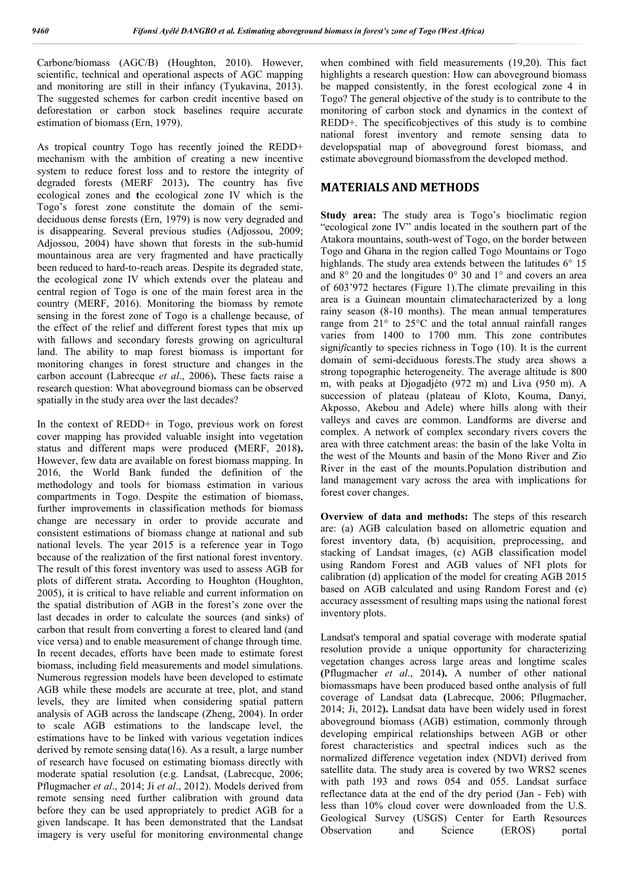Carbone/biomass (AGC/B) (Houghton, 2010). However, scientific, technical and operational aspects of AGC mapping and monitoring are still in their infancy (Tyukavina, 2013). The suggested schemes for carbon credit incentive based on deforestation or carbon stock baselines require accurate estimation of biomass (Ern, 1979).

As tropical country Togo has recently joined the REDD+ mechanism with the ambition of creating a new incentive system to reduce forest loss and to restore the integrity of degraded forests (MERF 2013)**.** The country has five ecological zones and **t**he ecological zone IV which is the Togo's forest zone constitute the domain of the semideciduous dense forests (Ern, 1979) is now very degraded and is disappearing. Several previous studies (Adjossou, 2009; Adjossou, 2004) have shown that forests in the sub-humid mountainous area are very fragmented and have practically been reduced to hard-to-reach areas. Despite its degraded state, the ecological zone IV which extends over the plateau and central region of Togo is one of the main forest area in the country (MERF, 2016). Monitoring the biomass by remote sensing in the forest zone of Togo is a challenge because, of the effect of the relief and different forest types that mix up with fallows and secondary forests growing on agricultural land. The ability to map forest biomass is important for monitoring changes in forest structure and changes in the carbon account (Labrecque *et al*., 2006)**.** These facts raise a research question: What aboveground biomass can be observed spatially in the study area over the last decades?

In the context of REDD+ in Togo, previous work on forest cover mapping has provided valuable insight into vegetation status and different maps were produced **(**MERF, 2018**).**  However, few data are available on forest biomass mapping. In 2016, the World Bank funded the definition of the methodology and tools for biomass estimation in various compartments in Togo. Despite the estimation of biomass, further improvements in classification methods for biomass change are necessary in order to provide accurate and consistent estimations of biomass change at national and sub national levels. The year 2015 is a reference year in Togo because of the realization of the first national forest inventory. The result of this forest inventory was used to assess AGB for plots of different strata**.** According to Houghton (Houghton, 2005), it is critical to have reliable and current information on the spatial distribution of AGB in the forest's zone over the last decades in order to calculate the sources (and sinks) of carbon that result from converting a forest to cleared land (and vice versa) and to enable measurement of change through time. In recent decades, efforts have been made to estimate forest biomass, including field measurements and model simulations. Numerous regression models have been developed to estimate AGB while these models are accurate at tree, plot, and stand levels, they are limited when considering spatial pattern analysis of AGB across the landscape (Zheng, 2004). In order to scale AGB estimations to the landscape level, the estimations have to be linked with various vegetation indices derived by remote sensing data(16). As a result, a large number of research have focused on estimating biomass directly with moderate spatial resolution (e.g. Landsat, (Labrecque, 2006; Pflugmacher *et al*., 2014; Ji *et al*., 2012). Models derived from remote sensing need further calibration with ground data before they can be used appropriately to predict AGB for a given landscape. It has been demonstrated that the Landsat imagery is very useful for monitoring environmental change

when combined with field measurements (19,20). This fact highlights a research question: How can aboveground biomass be mapped consistently, in the forest ecological zone 4 in Togo? The general objective of the study is to contribute to the monitoring of carbon stock and dynamics in the context of REDD+. The specificobjectives of this study is to combine national forest inventory and remote sensing data to developspatial map of aboveground forest biomass, and estimate aboveground biomassfrom the developed method.

# **MATERIALS AND METHODS**

**Study area:** The study area is Togo's bioclimatic region "ecological zone IV" andis located in the southern part of the Atakora mountains, south-west of Togo, on the border between Togo and Ghana in the region called Togo Mountains or Togo highlands. The study area extends between the latitudes 6° 15 and 8° 20 and the longitudes 0° 30 and 1° and covers an area of 603'972 hectares (Figure 1).The climate prevailing in this area is a Guinean mountain climatecharacterized by a long rainy season (8-10 months). The mean annual temperatures range from 21° to 25°C and the total annual rainfall ranges varies from 1400 to 1700 mm. This zone contributes signi*fi*cantly to species richness in Togo (10). It is the current domain of semi-deciduous forests.The study area shows a strong topographic heterogeneity. The average altitude is 800 m, with peaks at Djogadjèto (972 m) and Liva (950 m). A succession of plateau (plateau of Kloto, Kouma, Danyi, Akposso, Akebou and Adele) where hills along with their valleys and caves are common. Landforms are diverse and complex. A network of complex secondary rivers covers the area with three catchment areas: the basin of the lake Volta in the west of the Mounts and basin of the Mono River and Zio River in the east of the mounts.Population distribution and land management vary across the area with implications for forest cover changes.

**Overview of data and methods:** The steps of this research are: (a) AGB calculation based on allometric equation and forest inventory data, (b) acquisition, preprocessing, and stacking of Landsat images, (c) AGB classification model using Random Forest and AGB values of NFI plots for calibration (d) application of the model for creating AGB 2015 based on AGB calculated and using Random Forest and (e) accuracy assessment of resulting maps using the national forest inventory plots.

Landsat's temporal and spatial coverage with moderate spatial resolution provide a unique opportunity for characterizing vegetation changes across large areas and longtime scales **(**Pflugmacher *et al*., 2014**).** A number of other national biomassmaps have been produced based onthe analysis of full coverage of Landsat data **(**Labrecque, 2006; Pflugmacher, 2014; Ji, 2012**).** Landsat data have been widely used in forest aboveground biomass (AGB) estimation, commonly through developing empirical relationships between AGB or other forest characteristics and spectral indices such as the normalized difference vegetation index (NDVI) derived from satellite data. The study area is covered by two WRS2 scenes with path 193 and rows 054 and 055. Landsat surface reflectance data at the end of the dry period (Jan - Feb) with less than 10% cloud cover were downloaded from the U.S. Geological Survey (USGS) Center for Earth Resources Observation and Science (EROS) portal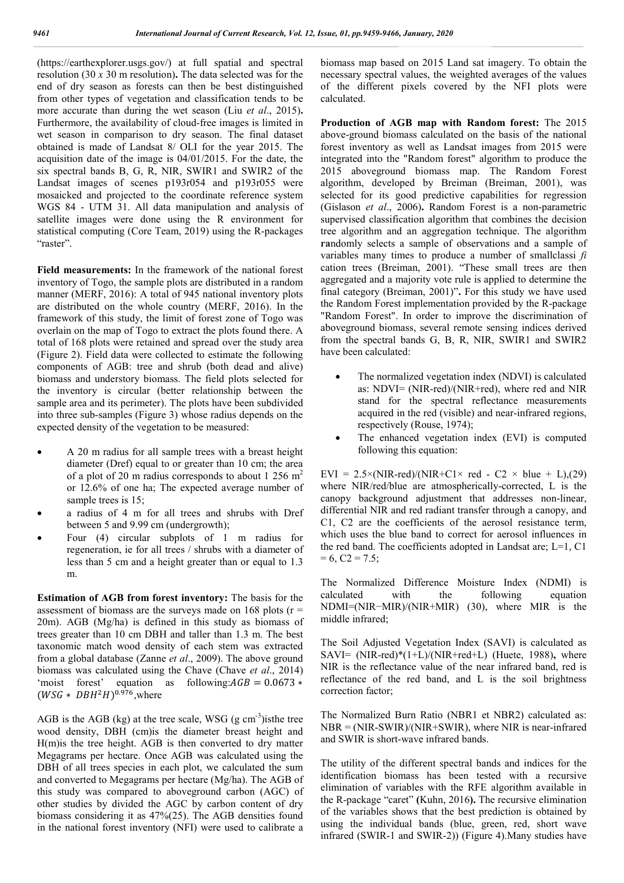(https://earthexplorer.usgs.gov/) at full spatial and spectral resolution (30 *x* 30 m resolution)**.** The data selected was for the end of dry season as forests can then be best distinguished from other types of vegetation and classification tends to be more accurate than during the wet season (Liu *et al*., 2015)**.**  Furthermore, the availability of cloud-free images is limited in wet season in comparison to dry season. The final dataset obtained is made of Landsat 8/ OLI for the year 2015. The acquisition date of the image is 04/01/2015. For the date, the six spectral bands B, G, R, NIR, SWIR1 and SWIR2 of the Landsat images of scenes p193r054 and p193r055 were mosaicked and projected to the coordinate reference system WGS 84 - UTM 31. All data manipulation and analysis of satellite images were done using the R environment for statistical computing (Core Team, 2019) using the R-packages "raster".

**Field measurements:** In the framework of the national forest inventory of Togo, the sample plots are distributed in a random manner (MERF, 2016): A total of 945 national inventory plots are distributed on the whole country (MERF, 2016). In the framework of this study, the limit of forest zone of Togo was overlain on the map of Togo to extract the plots found there. A total of 168 plots were retained and spread over the study area (Figure 2). Field data were collected to estimate the following components of AGB: tree and shrub (both dead and alive) biomass and understory biomass. The field plots selected for the inventory is circular (better relationship between the sample area and its perimeter). The plots have been subdivided into three sub-samples (Figure 3) whose radius depends on the expected density of the vegetation to be measured:

- A 20 m radius for all sample trees with a breast height diameter (Dref) equal to or greater than 10 cm; the area of a plot of 20 m radius corresponds to about 1 256  $m<sup>2</sup>$ or 12.6% of one ha; The expected average number of sample trees is 15;
- a radius of 4 m for all trees and shrubs with Dref between 5 and 9.99 cm (undergrowth);
- Four (4) circular subplots of 1 m radius for regeneration, ie for all trees / shrubs with a diameter of less than 5 cm and a height greater than or equal to 1.3 m.

**Estimation of AGB from forest inventory:** The basis for the assessment of biomass are the surveys made on 168 plots ( $r =$ 20m). AGB (Mg/ha) is defined in this study as biomass of trees greater than 10 cm DBH and taller than 1.3 m. The best taxonomic match wood density of each stem was extracted from a global database (Zanne *et al*., 2009). The above ground biomass was calculated using the Chave (Chave *et al*., 2014) 'moist forest' equation as following: $AGB = 0.0673$ \*  $(WSG * DBH<sup>2</sup>H)<sup>0.976</sup>$ , where

AGB is the AGB (kg) at the tree scale, WSG  $(g \text{ cm}^{-3})$ isthe tree wood density, DBH (cm)is the diameter breast height and H(m)is the tree height. AGB is then converted to dry matter Megagrams per hectare. Once AGB was calculated using the DBH of all trees species in each plot, we calculated the sum and converted to Megagrams per hectare (Mg/ha). The AGB of this study was compared to aboveground carbon (AGC) of other studies by divided the AGC by carbon content of dry biomass considering it as 47%(25). The AGB densities found in the national forest inventory (NFI) were used to calibrate a

biomass map based on 2015 Land sat imagery. To obtain the necessary spectral values, the weighted averages of the values of the different pixels covered by the NFI plots were calculated.

**Production of AGB map with Random forest:** The 2015 above-ground biomass calculated on the basis of the national forest inventory as well as Landsat images from 2015 were integrated into the "Random forest" algorithm to produce the 2015 aboveground biomass map. The Random Forest algorithm, developed by Breiman (Breiman, 2001), was selected for its good predictive capabilities for regression (Gislason *et al*., 2006)**.** Random Forest is a non-parametric supervised classification algorithm that combines the decision tree algorithm and an aggregation technique. The algorithm **ra**ndomly selects a sample of observations and a sample of variables many times to produce a number of smallclassi *fi* cation trees (Breiman, 2001). "These small trees are then aggregated and a majority vote rule is applied to determine the final category (Breiman, 2001)"**.** For this study we have used the Random Forest implementation provided by the R-package "Random Forest". In order to improve the discrimination of aboveground biomass, several remote sensing indices derived from the spectral bands G, B, R, NIR, SWIR1 and SWIR2 have been calculated:

- The normalized vegetation index (NDVI) is calculated as: NDVI= (NIR-red)/(NIR+red), where red and NIR stand for the spectral reflectance measurements acquired in the red (visible) and near-infrared regions, respectively (Rouse, 1974);
- The enhanced vegetation index (EVI) is computed following this equation:

EVI =  $2.5 \times (NIR-red)/(NIR+C1 \times red - C2 \times blue + L)$ ,(29) where NIR/red/blue are atmospherically-corrected, L is the canopy background adjustment that addresses non-linear, differential NIR and red radiant transfer through a canopy, and C1, C2 are the coefficients of the aerosol resistance term, which uses the blue band to correct for aerosol influences in the red band. The coefficients adopted in Landsat are; L=1, C1  $= 6, C2 = 7.5;$ 

The Normalized Difference Moisture Index (NDMI) is calculated with the following equation NDMI=(NIR−MIR)/(NIR+MIR) (30), where MIR is the middle infrared;

The Soil Adjusted Vegetation Index (SAVI) is calculated as SAVI= (NIR-red)\*(1+L)/(NIR+red+L) (Huete, 1988)**,** where NIR is the reflectance value of the near infrared band, red is reflectance of the red band, and L is the soil brightness correction factor;

The Normalized Burn Ratio (NBR1 et NBR2) calculated as: NBR = (NIR-SWIR)/(NIR+SWIR), where NIR is near-infrared and SWIR is short-wave infrared bands.

The utility of the different spectral bands and indices for the identification biomass has been tested with a recursive elimination of variables with the RFE algorithm available in the R-package "caret" **(**Kuhn, 2016**).** The recursive elimination of the variables shows that the best prediction is obtained by using the individual bands (blue, green, red, short wave infrared (SWIR-1 and SWIR-2)) (Figure 4).Many studies have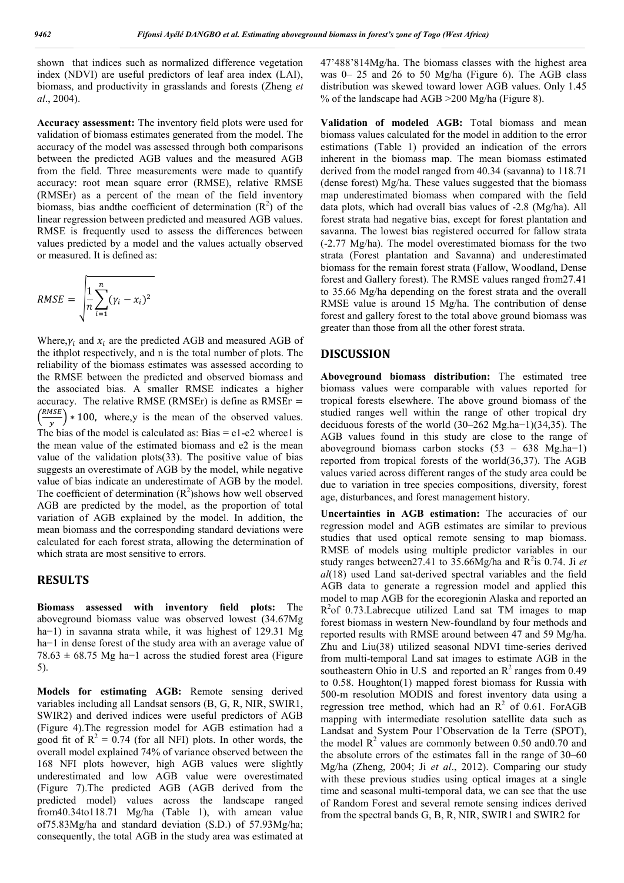shown that indices such as normalized difference vegetation index (NDVI) are useful predictors of leaf area index (LAI), biomass, and productivity in grasslands and forests (Zheng *et al*., 2004).

**Accuracy assessment:** The inventory field plots were used for validation of biomass estimates generated from the model. The accuracy of the model was assessed through both comparisons between the predicted AGB values and the measured AGB from the field. Three measurements were made to quantify accuracy: root mean square error (RMSE), relative RMSE (RMSEr) as a percent of the mean of the field inventory biomass, bias and the coefficient of determination  $(R^2)$  of the linear regression between predicted and measured AGB values. RMSE is frequently used to assess the differences between values predicted by a model and the values actually observed or measured. It is defined as:

$$
RMSE = \sqrt{\frac{1}{n} \sum_{i=1}^{n} (\gamma_i - x_i)^2}
$$

Where, $y_i$  and  $x_i$  are the predicted AGB and measured AGB of the ithplot respectively, and n is the total number of plots. The reliability of the biomass estimates was assessed according to the RMSE between the predicted and observed biomass and the associated bias. A smaller RMSE indicates a higher accuracy. The relative RMSE (RMSEr) is define as  $RMSEr =$  $\left(\frac{RMSE}{y}\right) * 100$ , where,y is the mean of the observed values. The bias of the model is calculated as: Bias  $= e1-e2$  wheree l is the mean value of the estimated biomass and e2 is the mean value of the validation plots(33). The positive value of bias suggests an overestimate of AGB by the model, while negative value of bias indicate an underestimate of AGB by the model. The coefficient of determination  $(R^2)$ shows how well observed AGB are predicted by the model, as the proportion of total variation of AGB explained by the model. In addition, the mean biomass and the corresponding standard deviations were calculated for each forest strata, allowing the determination of which strata are most sensitive to errors.

# **RESULTS**

**Biomass assessed with inventory field plots:** The aboveground biomass value was observed lowest (34.67Mg ha−1) in savanna strata while, it was highest of 129.31 Mg ha−1 in dense forest of the study area with an average value of  $78.63 \pm 68.75$  Mg ha−1 across the studied forest area (Figure 5).

**Models for estimating AGB:** Remote sensing derived variables including all Landsat sensors (B, G, R, NIR, SWIR1, SWIR2) and derived indices were useful predictors of AGB (Figure 4).The regression model for AGB estimation had a good fit of  $R^2 = 0.74$  (for all NFI) plots. In other words, the overall model explained 74% of variance observed between the 168 NFI plots however, high AGB values were slightly underestimated and low AGB value were overestimated (Figure 7).The predicted AGB (AGB derived from the predicted model) values across the landscape ranged from40.34to118.71 Mg/ha (Table 1), with amean value of75.83Mg/ha and standard deviation (S.D.) of 57.93Mg/ha; consequently, the total AGB in the study area was estimated at 47'488'814Mg/ha. The biomass classes with the highest area was 0– 25 and 26 to 50 Mg/ha (Figure 6). The AGB class distribution was skewed toward lower AGB values. Only 1.45 % of the landscape had AGB >200 Mg/ha (Figure 8).

**Validation of modeled AGB:** Total biomass and mean biomass values calculated for the model in addition to the error estimations (Table 1) provided an indication of the errors inherent in the biomass map. The mean biomass estimated derived from the model ranged from 40.34 (savanna) to 118.71 (dense forest) Mg/ha. These values suggested that the biomass map underestimated biomass when compared with the field data plots, which had overall bias values of -2.8 (Mg/ha). All forest strata had negative bias, except for forest plantation and savanna. The lowest bias registered occurred for fallow strata (-2.77 Mg/ha). The model overestimated biomass for the two strata (Forest plantation and Savanna) and underestimated biomass for the remain forest strata (Fallow, Woodland, Dense forest and Gallery forest). The RMSE values ranged from27.41 to 35.66 Mg/ha depending on the forest strata and the overall RMSE value is around 15 Mg/ha. The contribution of dense forest and gallery forest to the total above ground biomass was greater than those from all the other forest strata.

#### **DISCUSSION**

**Aboveground biomass distribution:** The estimated tree biomass values were comparable with values reported for tropical forests elsewhere. The above ground biomass of the studied ranges well within the range of other tropical dry deciduous forests of the world (30–262 Mg.ha−1)(34,35). The AGB values found in this study are close to the range of aboveground biomass carbon stocks (53 – 638 Mg.ha−1) reported from tropical forests of the world(36,37). The AGB values varied across different ranges of the study area could be due to variation in tree species compositions, diversity, forest age, disturbances, and forest management history.

**Uncertainties in AGB estimation:** The accuracies of our regression model and AGB estimates are similar to previous studies that used optical remote sensing to map biomass. RMSE of models using multiple predictor variables in our study ranges between27.41 to 35.66Mg/ha and R<sup>2</sup>is 0.74. Ji et *al*(18) used Land sat-derived spectral variables and the field AGB data to generate a regression model and applied this model to map AGB for the ecoregionin Alaska and reported an R<sup>2</sup>of 0.73.Labrecque utilized Land sat TM images to map forest biomass in western New-foundland by four methods and reported results with RMSE around between 47 and 59 Mg/ha. Zhu and Liu(38) utilized seasonal NDVI time-series derived from multi-temporal Land sat images to estimate AGB in the southeastern Ohio in U.S and reported an  $\mathbb{R}^2$  ranges from 0.49 to 0.58. Houghton(1) mapped forest biomass for Russia with 500-m resolution MODIS and forest inventory data using a regression tree method, which had an  $R^2$  of 0.61. ForAGB mapping with intermediate resolution satellite data such as Landsat and System Pour l'Observation de la Terre (SPOT), the model  $R^2$  values are commonly between 0.50 and 0.70 and the absolute errors of the estimates fall in the range of 30–60 Mg/ha (Zheng, 2004; Ji *et al*., 2012). Comparing our study with these previous studies using optical images at a single time and seasonal multi-temporal data, we can see that the use of Random Forest and several remote sensing indices derived from the spectral bands G, B, R, NIR, SWIR1 and SWIR2 for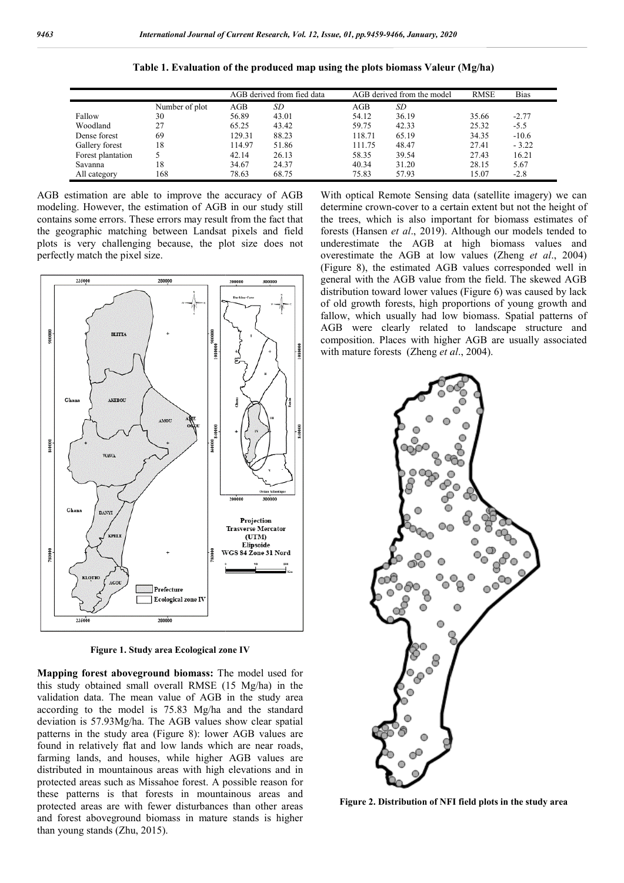|                   |                | AGB derived from fied data |       | AGB derived from the model |       | <b>RMSE</b> | <b>Bias</b> |
|-------------------|----------------|----------------------------|-------|----------------------------|-------|-------------|-------------|
|                   | Number of plot | AGB                        | SD    | AGB                        | SD    |             |             |
| Fallow            | 30             | 56.89                      | 43.01 | 54.12                      | 36.19 | 35.66       | $-2.77$     |
| Woodland          | 27             | 65.25                      | 43.42 | 59.75                      | 42.33 | 25.32       | $-5.5$      |
| Dense forest      | 69             | 129.31                     | 88.23 | 118.71                     | 65.19 | 34.35       | $-10.6$     |
| Gallery forest    | 18             | 114.97                     | 51.86 | 111.75                     | 48.47 | 27.41       | $-3.22$     |
| Forest plantation |                | 42.14                      | 26.13 | 58.35                      | 39.54 | 27.43       | 16.21       |
| Savanna           | 18             | 34.67                      | 24.37 | 40.34                      | 31.20 | 28.15       | 5.67        |
| All category      | 168            | 78.63                      | 68.75 | 75.83                      | 57.93 | 15.07       | $-2.8$      |

**Table 1. Evaluation of the produced map using the plots biomass Valeur (Mg/ha)**

AGB estimation are able to improve the accuracy of AGB modeling. However, the estimation of AGB in our study still contains some errors. These errors may result from the fact that the geographic matching between Landsat pixels and field plots is very challenging because, the plot size does not perfectly match the pixel size.



**Figure 1. Study area Ecological zone IV**

**Mapping forest aboveground biomass:** The model used for this study obtained small overall RMSE (15 Mg/ha) in the validation data. The mean value of AGB in the study area according to the model is 75.83 Mg/ha and the standard deviation is 57.93Mg/ha. The AGB values show clear spatial patterns in the study area (Figure 8): lower AGB values are found in relatively flat and low lands which are near roads, farming lands, and houses, while higher AGB values are distributed in mountainous areas with high elevations and in protected areas such as Missahoe forest. A possible reason for these patterns is that forests in mountainous areas and protected areas are with fewer disturbances than other areas and forest aboveground biomass in mature stands is higher than young stands (Zhu, 2015).

determine crown-cover to a certain extent but not the height of the trees, which is also important for biomass estimates of forests (Hansen *et al*., 2019). underestimate the AGB at high biomass values and overestimate the AGB at low values (Zheng *et al*., 2004) (Figure 8), the estimated AGB values corresponded well in general with the AGB value from the field. The skewed AGB distribution toward lower values (Figure 6) was caused by lack (Figure 8), the estimated AGB values corresponded well in general with the AGB value from the field. The skewed AGB distribution toward lower values (Figure 6) was caused by lack of old growth forests, high proportions of fallow, which usually had low biomass. Spatial patterns of AGB were clearly related to landscape structure and composition. Places with higher AGB are usually associated with mature forests (Zheng *et al.*, 2004). With optical Remote Sensing data (satellite imagery) we can crown-cover to a certain extent but not the height of which is also important for biomass estimates of ansen *et al.*, 2019). Although our models tended to to landscape structure and<br>r AGB are usually associated<br>'., 2004).



**Figure 2. Distribution of NFI field plots in the study area**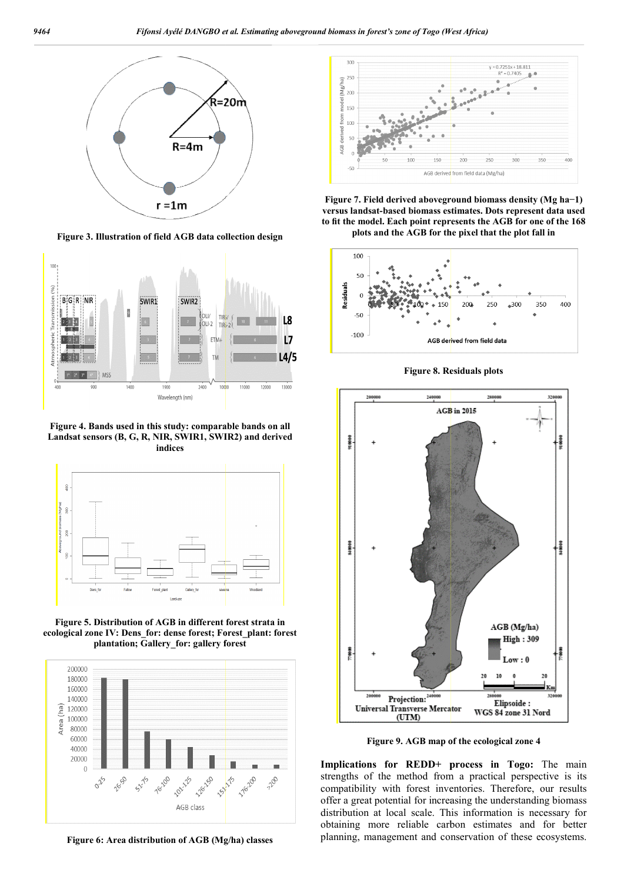

**Figure 3. Illustration of field AGB data collection design**



**Figure 4. Bands used in this study: comparable bands on all Landsat sensors (B, G, R, NIR, SWIR1, SWIR2) and derived indices**



**Figure 5. Distribution of AGB in different forest strata in ecological zone IV: Dens\_for: dense forest; Forest\_plant: forest plantation; Gallery\_for: gallery forest**



**Figure 6: Area distribution of AGB (Mg/ha) classes**



**Figure 7. Field derived aboveground biomas Field derived biomass density (Mg ha−1) versus landsat-based biomass estimates. Dots represent data used to fit the model. Each point represents the AGB for one of the 168 plots and the AGB for the pixel that the plot fall in**



**Figure 8. Residuals plots**



**Figure 9. AGB map of the ecological zone 4**

**Implications for REDD+ process in Togo** strengths of the method from a practical perspective is its compatibility with forest inventories. Therefore, our results offer a great potential for increasing the understanding biomass distribution at local scale. This information is necessary for obtaining more reliable carbon estimates and for better planning, management and conservation of these ecosystems.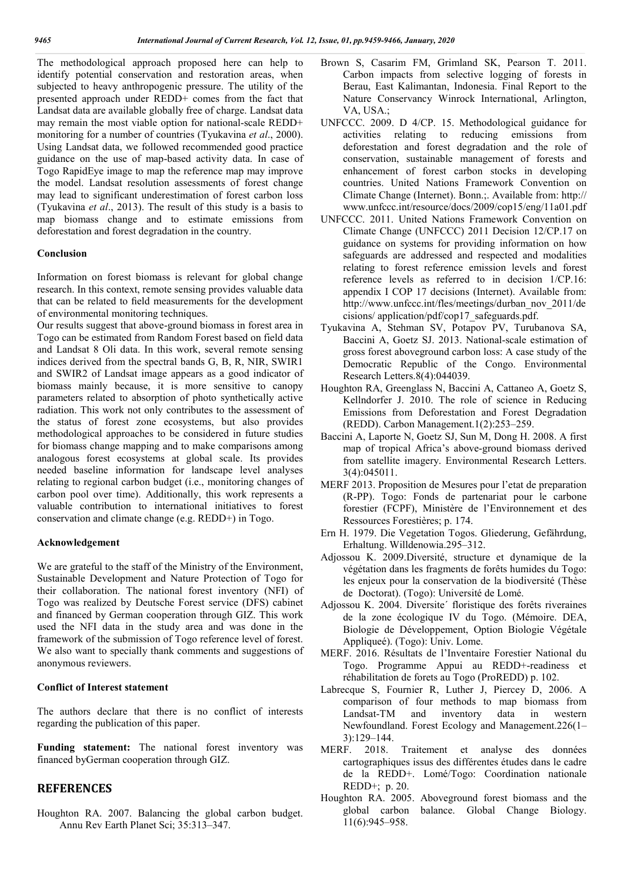The methodological approach proposed here can help to identify potential conservation and restoration areas, when subjected to heavy anthropogenic pressure. The utility of the presented approach under REDD+ comes from the fact that Landsat data are available globally free of charge. Landsat data may remain the most viable option for national-scale REDD+ monitoring for a number of countries (Tyukavina *et al*., 2000). Using Landsat data, we followed recommended good practice guidance on the use of map-based activity data. In case of Togo RapidEye image to map the reference map may improve the model. Landsat resolution assessments of forest change may lead to significant underestimation of forest carbon loss (Tyukavina *et al*., 2013). The result of this study is a basis to map biomass change and to estimate emissions from deforestation and forest degradation in the country.

### **Conclusion**

Information on forest biomass is relevant for global change research. In this context, remote sensing provides valuable data that can be related to field measurements for the development of environmental monitoring techniques.

Our results suggest that above-ground biomass in forest area in Togo can be estimated from Random Forest based on field data and Landsat 8 Oli data. In this work, several remote sensing indices derived from the spectral bands G, B, R, NIR, SWIR1 and SWIR2 of Landsat image appears as a good indicator of biomass mainly because, it is more sensitive to canopy parameters related to absorption of photo synthetically active radiation. This work not only contributes to the assessment of the status of forest zone ecosystems, but also provides methodological approaches to be considered in future studies for biomass change mapping and to make comparisons among analogous forest ecosystems at global scale. Its provides needed baseline information for landscape level analyses relating to regional carbon budget (i.e., monitoring changes of carbon pool over time). Additionally, this work represents a valuable contribution to international initiatives to forest conservation and climate change (e.g. REDD+) in Togo.

#### **Acknowledgement**

We are grateful to the staff of the Ministry of the Environment, Sustainable Development and Nature Protection of Togo for their collaboration. The national forest inventory (NFI) of Togo was realized by Deutsche Forest service (DFS) cabinet and financed by German cooperation through GIZ. This work used the NFI data in the study area and was done in the framework of the submission of Togo reference level of forest. We also want to specially thank comments and suggestions of anonymous reviewers.

#### **Conflict of Interest statement**

The authors declare that there is no conflict of interests regarding the publication of this paper.

**Funding statement:** The national forest inventory was financed byGerman cooperation through GIZ.

## **REFERENCES**

Houghton RA. 2007. Balancing the global carbon budget. Annu Rev Earth Planet Sci; 35:313–347.

- Brown S, Casarim FM, Grimland SK, Pearson T. 2011. Carbon impacts from selective logging of forests in Berau, East Kalimantan, Indonesia. Final Report to the Nature Conservancy Winrock International, Arlington, VA, USA.;
- UNFCCC. 2009. D 4/CP. 15. Methodological guidance for activities relating to reducing emissions from deforestation and forest degradation and the role of conservation, sustainable management of forests and enhancement of forest carbon stocks in developing countries. United Nations Framework Convention on Climate Change (Internet). Bonn.;. Available from: http:// www.unfccc.int/resource/docs/2009/cop15/eng/11a01.pdf
- UNFCCC. 2011. United Nations Framework Convention on Climate Change (UNFCCC) 2011 Decision 12/CP.17 on guidance on systems for providing information on how safeguards are addressed and respected and modalities relating to forest reference emission levels and forest reference levels as referred to in decision 1/CP.16: appendix I COP 17 decisions (Internet). Available from: http://www.unfccc.int/fles/meetings/durban\_nov\_2011/de cisions/ application/pdf/cop17\_safeguards.pdf.
- Tyukavina A, Stehman SV, Potapov PV, Turubanova SA, Baccini A, Goetz SJ. 2013. National-scale estimation of gross forest aboveground carbon loss: A case study of the Democratic Republic of the Congo. Environmental Research Letters.8(4):044039.
- Houghton RA, Greenglass N, Baccini A, Cattaneo A, Goetz S, Kellndorfer J. 2010. The role of science in Reducing Emissions from Deforestation and Forest Degradation (REDD). Carbon Management.1(2):253–259.
- Baccini A, Laporte N, Goetz SJ, Sun M, Dong H. 2008. A first map of tropical Africa's above-ground biomass derived from satellite imagery. Environmental Research Letters. 3(4):045011.
- MERF 2013. Proposition de Mesures pour l'etat de preparation (R-PP). Togo: Fonds de partenariat pour le carbone forestier (FCPF), Ministère de l'Environnement et des Ressources Forestières; p. 174.
- Ern H. 1979. Die Vegetation Togos. Gliederung, Gefährdung, Erhaltung. Willdenowia.295–312.
- Adjossou K. 2009.Diversité, structure et dynamique de la végétation dans les fragments de forêts humides du Togo: les enjeux pour la conservation de la biodiversité (Thèse de Doctorat). (Togo): Université de Lomé.
- Adjossou K. 2004. Diversite´ floristique des forêts riveraines de la zone écologique IV du Togo. (Mémoire. DEA, Biologie de Développement, Option Biologie Végétale Appliqueé). (Togo): Univ. Lome.
- MERF. 2016. Résultats de l'Inventaire Forestier National du Togo. Programme Appui au REDD+-readiness et réhabilitation de forets au Togo (ProREDD) p. 102.
- Labrecque S, Fournier R, Luther J, Piercey D, 2006. A comparison of four methods to map biomass from Landsat-TM and inventory data in western Newfoundland. Forest Ecology and Management.226(1– 3):129–144.
- MERF. 2018. Traitement et analyse des données cartographiques issus des différentes études dans le cadre de la REDD+. Lomé/Togo: Coordination nationale REDD+; p. 20.
- Houghton RA. 2005. Aboveground forest biomass and the global carbon balance. Global Change Biology. 11(6):945–958.